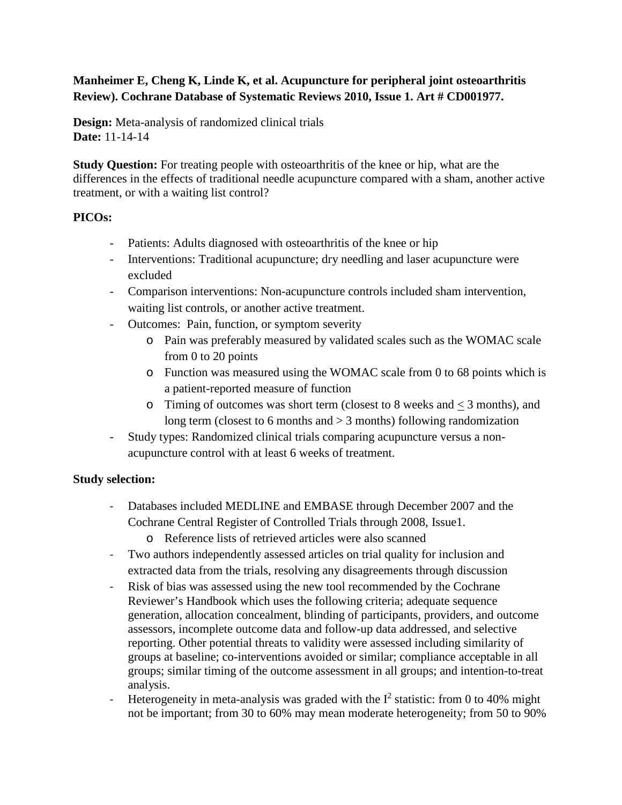## **Manheimer E, Cheng K, Linde K, et al. Acupuncture for peripheral joint osteoarthritis Review). Cochrane Database of Systematic Reviews 2010, Issue 1. Art # CD001977.**

**Design:** Meta-analysis of randomized clinical trials **Date:** 11-14-14

**Study Question:** For treating people with osteoarthritis of the knee or hip, what are the differences in the effects of traditional needle acupuncture compared with a sham, another active treatment, or with a waiting list control?

## **PICOs:**

- Patients: Adults diagnosed with osteoarthritis of the knee or hip
- Interventions: Traditional acupuncture; dry needling and laser acupuncture were excluded
- Comparison interventions: Non-acupuncture controls included sham intervention, waiting list controls, or another active treatment.
- Outcomes: Pain, function, or symptom severity
	- o Pain was preferably measured by validated scales such as the WOMAC scale from 0 to 20 points
	- o Function was measured using the WOMAC scale from 0 to 68 points which is a patient-reported measure of function
	- $\circ$  Timing of outcomes was short term (closest to 8 weeks and  $\lt$  3 months), and long term (closest to 6 months and  $> 3$  months) following randomization
- Study types: Randomized clinical trials comparing acupuncture versus a nonacupuncture control with at least 6 weeks of treatment.

# **Study selection:**

- Databases included MEDLINE and EMBASE through December 2007 and the Cochrane Central Register of Controlled Trials through 2008, Issue1.
	- o Reference lists of retrieved articles were also scanned
- Two authors independently assessed articles on trial quality for inclusion and extracted data from the trials, resolving any disagreements through discussion
- Risk of bias was assessed using the new tool recommended by the Cochrane Reviewer's Handbook which uses the following criteria; adequate sequence generation, allocation concealment, blinding of participants, providers, and outcome assessors, incomplete outcome data and follow-up data addressed, and selective reporting. Other potential threats to validity were assessed including similarity of groups at baseline; co-interventions avoided or similar; compliance acceptable in all groups; similar timing of the outcome assessment in all groups; and intention-to-treat analysis.
- Heterogeneity in meta-analysis was graded with the  $I^2$  statistic: from 0 to 40% might not be important; from 30 to 60% may mean moderate heterogeneity; from 50 to 90%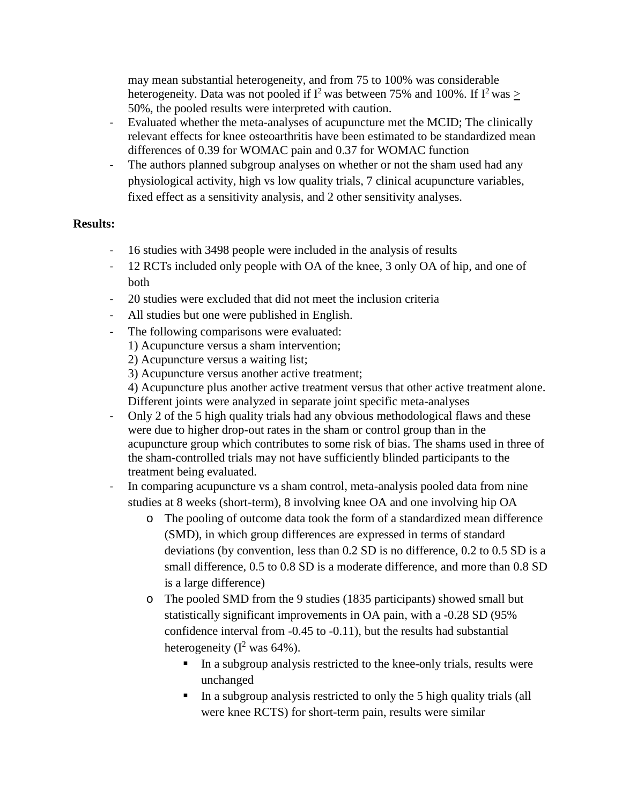may mean substantial heterogeneity, and from 75 to 100% was considerable heterogeneity. Data was not pooled if I<sup>2</sup> was between 75% and 100%. If I<sup>2</sup> was  $\geq$ 50%, the pooled results were interpreted with caution.

- Evaluated whether the meta-analyses of acupuncture met the MCID; The clinically relevant effects for knee osteoarthritis have been estimated to be standardized mean differences of 0.39 for WOMAC pain and 0.37 for WOMAC function
- The authors planned subgroup analyses on whether or not the sham used had any physiological activity, high vs low quality trials, 7 clinical acupuncture variables, fixed effect as a sensitivity analysis, and 2 other sensitivity analyses.

#### **Results:**

- 16 studies with 3498 people were included in the analysis of results
- 12 RCTs included only people with OA of the knee, 3 only OA of hip, and one of both
- 20 studies were excluded that did not meet the inclusion criteria
- All studies but one were published in English.
- The following comparisons were evaluated:
	- 1) Acupuncture versus a sham intervention;
		- 2) Acupuncture versus a waiting list;
		- 3) Acupuncture versus another active treatment;

4) Acupuncture plus another active treatment versus that other active treatment alone. Different joints were analyzed in separate joint specific meta-analyses

- Only 2 of the 5 high quality trials had any obvious methodological flaws and these were due to higher drop-out rates in the sham or control group than in the acupuncture group which contributes to some risk of bias. The shams used in three of the sham-controlled trials may not have sufficiently blinded participants to the treatment being evaluated.

In comparing acupuncture vs a sham control, meta-analysis pooled data from nine studies at 8 weeks (short-term), 8 involving knee OA and one involving hip OA

- o The pooling of outcome data took the form of a standardized mean difference (SMD), in which group differences are expressed in terms of standard deviations (by convention, less than 0.2 SD is no difference, 0.2 to 0.5 SD is a small difference, 0.5 to 0.8 SD is a moderate difference, and more than 0.8 SD is a large difference)
- o The pooled SMD from the 9 studies (1835 participants) showed small but statistically significant improvements in OA pain, with a -0.28 SD (95% confidence interval from -0.45 to -0.11), but the results had substantial heterogeneity ( $I^2$  was 64%).
	- In a subgroup analysis restricted to the knee-only trials, results were unchanged
	- In a subgroup analysis restricted to only the 5 high quality trials (all were knee RCTS) for short-term pain, results were similar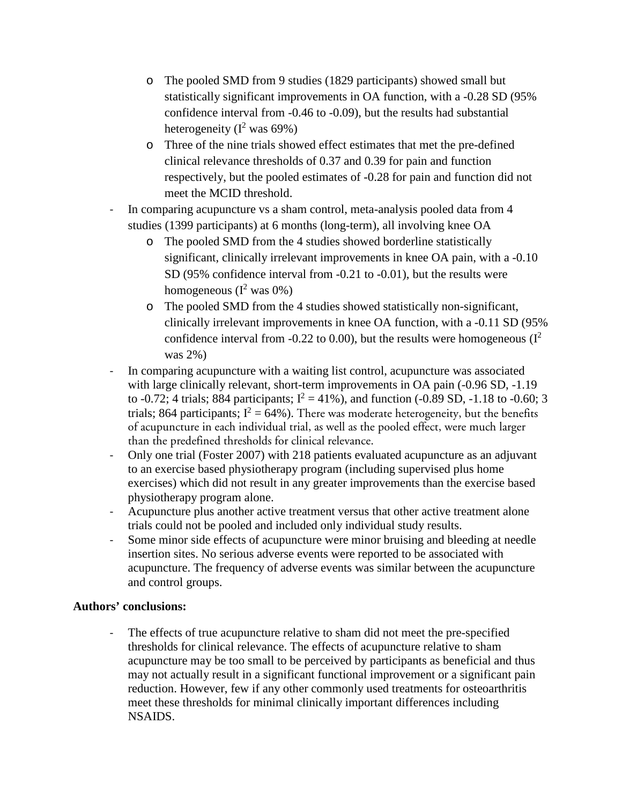- o The pooled SMD from 9 studies (1829 participants) showed small but statistically significant improvements in OA function, with a -0.28 SD (95% confidence interval from -0.46 to -0.09), but the results had substantial heterogeneity ( $I^2$  was 69%)
- o Three of the nine trials showed effect estimates that met the pre-defined clinical relevance thresholds of 0.37 and 0.39 for pain and function respectively, but the pooled estimates of -0.28 for pain and function did not meet the MCID threshold.
- In comparing acupuncture vs a sham control, meta-analysis pooled data from 4 studies (1399 participants) at 6 months (long-term), all involving knee OA
	- o The pooled SMD from the 4 studies showed borderline statistically significant, clinically irrelevant improvements in knee OA pain, with a -0.10 SD (95% confidence interval from -0.21 to -0.01), but the results were homogeneous ( $I^2$  was 0%)
	- o The pooled SMD from the 4 studies showed statistically non-significant, clinically irrelevant improvements in knee OA function, with a -0.11 SD (95% confidence interval from -0.22 to 0.00), but the results were homogeneous  $(I^2)$ was 2%)
- In comparing acupuncture with a waiting list control, acupuncture was associated with large clinically relevant, short-term improvements in OA pain (-0.96 SD, -1.19) to -0.72; 4 trials; 884 participants;  $I^2 = 41\%$ ), and function (-0.89 SD, -1.18 to -0.60; 3 trials; 864 participants;  $I^2 = 64\%$ ). There was moderate heterogeneity, but the benefits of acupuncture in each individual trial, as well as the pooled effect, were much larger than the predefined thresholds for clinical relevance.
- Only one trial (Foster 2007) with 218 patients evaluated acupuncture as an adjuvant to an exercise based physiotherapy program (including supervised plus home exercises) which did not result in any greater improvements than the exercise based physiotherapy program alone.
- Acupuncture plus another active treatment versus that other active treatment alone trials could not be pooled and included only individual study results.
- Some minor side effects of acupuncture were minor bruising and bleeding at needle insertion sites. No serious adverse events were reported to be associated with acupuncture. The frequency of adverse events was similar between the acupuncture and control groups.

#### **Authors' conclusions:**

The effects of true acupuncture relative to sham did not meet the pre-specified thresholds for clinical relevance. The effects of acupuncture relative to sham acupuncture may be too small to be perceived by participants as beneficial and thus may not actually result in a significant functional improvement or a significant pain reduction. However, few if any other commonly used treatments for osteoarthritis meet these thresholds for minimal clinically important differences including NSAIDS.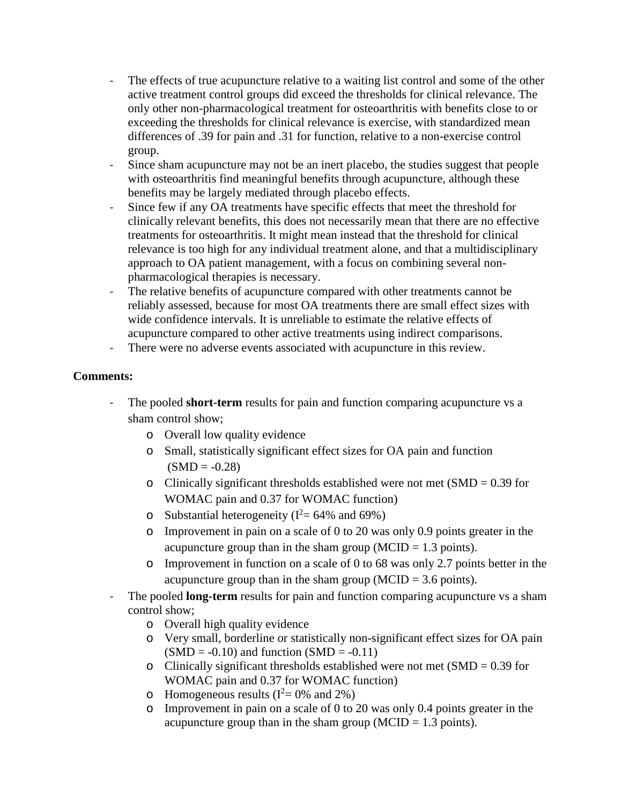- The effects of true acupuncture relative to a waiting list control and some of the other active treatment control groups did exceed the thresholds for clinical relevance. The only other non-pharmacological treatment for osteoarthritis with benefits close to or exceeding the thresholds for clinical relevance is exercise, with standardized mean differences of .39 for pain and .31 for function, relative to a non-exercise control group.
- Since sham acupuncture may not be an inert placebo, the studies suggest that people with osteoarthritis find meaningful benefits through acupuncture, although these benefits may be largely mediated through placebo effects.
- Since few if any OA treatments have specific effects that meet the threshold for clinically relevant benefits, this does not necessarily mean that there are no effective treatments for osteoarthritis. It might mean instead that the threshold for clinical relevance is too high for any individual treatment alone, and that a multidisciplinary approach to OA patient management, with a focus on combining several nonpharmacological therapies is necessary.
- The relative benefits of acupuncture compared with other treatments cannot be reliably assessed, because for most OA treatments there are small effect sizes with wide confidence intervals. It is unreliable to estimate the relative effects of acupuncture compared to other active treatments using indirect comparisons.
- There were no adverse events associated with acupuncture in this review.

#### **Comments:**

- The pooled **short-term** results for pain and function comparing acupuncture vs a sham control show;
	- o Overall low quality evidence
	- o Small, statistically significant effect sizes for OA pain and function  $(SMD = -0.28)$
	- o Clinically significant thresholds established were not met  $(SMD = 0.39$  for WOMAC pain and 0.37 for WOMAC function)
	- o Substantial heterogeneity ( $I^2 = 64\%$  and 69%)
	- o Improvement in pain on a scale of 0 to 20 was only 0.9 points greater in the acupuncture group than in the sham group ( $MCID = 1.3$  points).
	- o Improvement in function on a scale of 0 to 68 was only 2.7 points better in the acupuncture group than in the sham group ( $MCID = 3.6$  points).
- The pooled **long-term** results for pain and function comparing acupuncture vs a sham control show;
	- o Overall high quality evidence
	- o Very small, borderline or statistically non-significant effect sizes for OA pain  $(SMD = -0.10)$  and function  $(SMD = -0.11)$
	- o Clinically significant thresholds established were not met  $(SMD = 0.39$  for WOMAC pain and 0.37 for WOMAC function)
	- $\circ$  Homogeneous results ( $I^2 = 0\%$  and 2%)
	- o Improvement in pain on a scale of 0 to 20 was only 0.4 points greater in the acupuncture group than in the sham group ( $MCID = 1.3$  points).